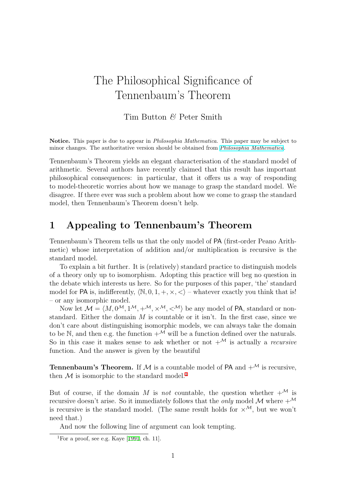# The Philosophical Significance of Tennenbaum's Theorem

#### Tim Button *&* Peter Smith

**Notice.** This paper is due to appear in *Philosophia Mathematica*. This paper may be subject to minor changes. The authoritative version should be obtained from *Philosophia Mathematica*.

Tennenbaum's Theorem yields an elegant characterisation of the standard model of arithmetic. Several authors have recently claimed that this result has important philosophical consequences: in particular, that it offer[s us a way of respond](http://philmat.oxfordjournals.org/)ing to model-theoretic worries about how we manage to grasp the standard model. We disagree. If there ever was such a problem about how we come to grasp the standard model, then Tennenbaum's Theorem doesn't help.

#### **1 Appealing to Tennenbaum's Theorem**

Tennenbaum's Theorem tells us that the only model of PA (first-order Peano Arithmetic) whose interpretation of addition and/or multiplication is recursive is the standard model.

To explain a bit further. It is (relatively) standard practice to distinguish models of a theory only up to isomorphism. Adopting this practice will beg no question in the debate which interests us here. So for the purposes of this paper, 'the' standard model for PA is, indifferently,  $\langle \mathbb{N}, 0, 1, +, \times, \langle \rangle$  – whatever exactly you think that is! – or any isomorphic model.

Now let  $\mathcal{M} = \langle M, 0^{\mathcal{M}}, 1^{\mathcal{M}}, +^{\mathcal{M}}, \times^{\mathcal{M}}, \langle^{\mathcal{M}} \rangle$  be any model of PA, standard or nonstandard. Either the domain  $M$  is countable or it isn't. In the first case, since we don't care about distinguishing isomorphic models, we can always take the domain to be N, and then e.g. the function  $+^{\mathcal{M}}$  will be a function defined over the naturals. So in this case it makes sense to ask whether or not  $+^{\mathcal{M}}$  is actually a *recursive* function. And the answer is given by the beautiful

**Tennenbaum's Theorem.** If M is a countable model of PA and  $+^{\mathcal{M}}$  is recursive, then  $\mathcal M$  is isomorphic to the standard model.<sup>1</sup>

But of course, if the domain *M* is *not* countable, the question whether  $+^{\mathcal{M}}$  is recursive doesn't arise. So it immediately foll[ow](#page-0-0)s that the *only* model M where  $+^{\mathcal{M}}$ is recursive is the standard model. (The same result holds for  $\times^{\mathcal{M}}$ , but we won't need that.)

And now the following line of argument can look tempting.

<span id="page-0-0"></span><sup>&</sup>lt;sup>1</sup>For a proof, see e.g. Kaye  $[1991, ch. 11]$ .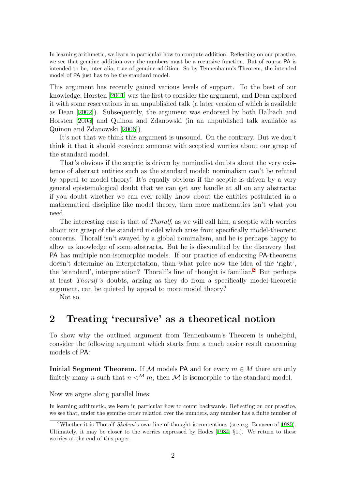In learning arithmetic, we learn in particular how to compute addition. Reflecting on our practice, we see that genuine addition over the numbers must be a recursive function. But of course PA is intended to be, inter alia, true of genuine addition. So by Tennenbaum's Theorem, the intended model of PA just has to be the standard model.

This argument has recently gained various levels of support. To the best of our knowledge, Horsten [2001] was the first to consider the argument, and Dean explored it with some reservations in an unpublished talk (a later version of which is available as Dean [2002]). Subsequently, the argument was endorsed by both Halbach and Horsten [2005] and [Quin](#page-6-0)on and Zdanowski (in an unpublished talk available as Quinon and Zdanowski [2006]).

It's n[ot tha](#page-5-0)t we think this argument is unsound. On the contrary. But we don't think it t[hat i](#page-5-1)t should convince someone with sceptical worries about our grasp of the standard model.

That's obvious if the [scept](#page-6-1)ic is driven by nominalist doubts about the very existence of abstract entities such as the standard model: nominalism can't be refuted by appeal to model theory! It's equally obvious if the sceptic is driven by a very general epistemological doubt that we can get any handle at all on any abstracta: if you doubt whether we can ever really know about the entities postulated in a mathematical discipline like model theory, then more mathematics isn't what you need.

The interesting case is that of *Thoralf*, as we will call him, a sceptic with worries about our grasp of the standard model which arise from specifically model-theoretic concerns. Thoralf isn't swayed by a global nominalism, and he is perhaps happy to allow us knowledge of some abstracta. But he is discomfited by the discovery that PA has multiple non-isomorphic models. If our practice of endorsing PA-theorems doesn't determine an interpretation, than what price now the idea of the 'right', the 'standard', interpretation? Thoralf's line of thought is familiar.<sup>2</sup> But perhaps at least *Thoralf 's* doubts, arising as they do from a specifically model-theoretic argument, can be quieted by appeal to more model theory?

Not so.

## **2 Treating 'recursive' as a theoretical notion**

To show why the outlined argument from Tennenbaum's Theorem is unhelpful, consider the following argument which starts from a much easier result concerning models of PA:

**Initial Segment Theorem.** If *M* models PA and for every  $m \in M$  there are only finitely many *n* such that  $n <sup>M</sup>$  *m*, then *M* is isomorphic to the standard model.

Now we argue along parallel lines:

In learning arithmetic, we learn in particular how to count backwards. Reflecting on our practice, we see that, under the genuine order relation over the numbers, any number has a finite number of

<sup>&</sup>lt;sup>2</sup>Whether it is Thoralf *Skolem*'s own line of thought is contentious (see e.g. Benacerraf 1985). Ultimately, it may be closer to the worries expressed by Hodes [1984, *§*1.]. We return to these worries at the end of this paper.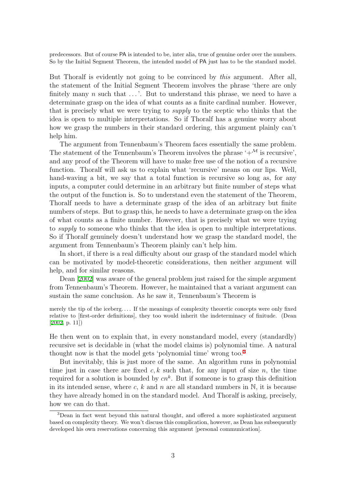predecessors. But of course PA is intended to be, inter alia, true of genuine order over the numbers. So by the Initial Segment Theorem, the intended model of PA just has to be the standard model.

But Thoralf is evidently not going to be convinced by *this* argument. After all, the statement of the Initial Segment Theorem involves the phrase 'there are only finitely many  $n$  such that  $\dots$ . But to understand this phrase, we need to have a determinate grasp on the idea of what counts as a finite cardinal number. However, that is precisely what we were trying to *supply* to the sceptic who thinks that the idea is open to multiple interpretations. So if Thoralf has a genuine worry about how we grasp the numbers in their standard ordering, this argument plainly can't help him.

The argument from Tennenbaum's Theorem faces essentially the same problem. The statement of the Tennenbaum's Theorem involves the phrase  $+<sup>M</sup>$  is recursive', and any proof of the Theorem will have to make free use of the notion of a recursive function. Thoralf will ask us to explain what 'recursive' means on our lips. Well, hand-waving a bit, we say that a total function is recursive so long as, for any inputs, a computer could determine in an arbitrary but finite number of steps what the output of the function is. So to understand even the statement of the Theorem, Thoralf needs to have a determinate grasp of the idea of an arbitrary but finite numbers of steps. But to grasp this, he needs to have a determinate grasp on the idea of what counts as a finite number. However, that is precisely what we were trying to *supply* to someone who thinks that the idea is open to multiple interpretations. So if Thoralf genuinely doesn't understand how we grasp the standard model, the argument from Tennenbaum's Theorem plainly can't help him.

In short, if there is a real difficulty about our grasp of the standard model which can be motivated by model-theoretic considerations, then neither argument will help, and for similar reasons.

Dean [2002] was aware of the general problem just raised for the simple argument from Tennenbaum's Theorem. However, he maintained that a variant argument can sustain the same conclusion. As he saw it, Tennenbaum's Theorem is

merely the [tip of](#page-5-0) the iceberg. . . . If the meanings of complexity theoretic concepts were only fixed relative to [first-order definitions], they too would inherit the indeterminacy of finitude. (Dean [2002, p. 11])

He then went on to explain that, in every nonstandard model, every (standardly) recursive set is decidable in (what the model claims is) polynomial time. A natural [thou](#page-5-0)ght now is that the model gets 'polynomial time' wrong too.<sup>3</sup>

But inevitably, this is just more of the same. An algorithm runs in polynomial time just in case there are fixed  $c, k$  such that, for any input of size  $n$ , the time required for a solution is bounded by  $cn^k$ . But if someone is to g[ra](#page-2-0)sp this definition in its intended sense, where  $c, k$  and  $n$  are all standard numbers in  $\mathbb{N}$ , it is because they have already homed in on the standard model. And Thoralf is asking, precisely, how we can do that.

<span id="page-2-0"></span><sup>3</sup>Dean in fact went beyond this natural thought, and offered a more sophisticated argument based on complexity theory. We won't discuss this complication, however, as Dean has subsequently developed his own reservations concerning this argument [personal communication].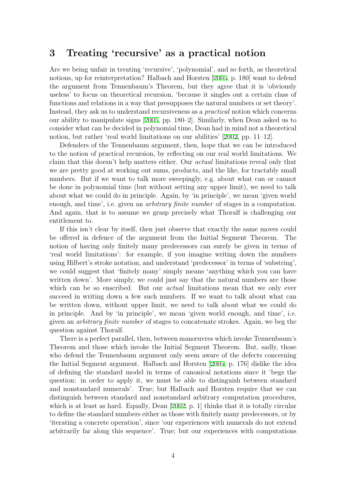### **3 Treating 'recursive' as a practical notion**

Are we being unfair in treating 'recursive', 'polynomial', and so forth, as theoretical notions, up for reinterpretation? Halbach and Horsten [2005, p. 180] want to defend the argument from Tennenbaum's Theorem, but they agree that it is 'obviously useless' to focus on theoretical recursion, 'because it singles out a certain class of functions and relations in a way that presupposes the na[tural](#page-5-1) numbers or set theory'. Instead, they ask us to understand recursiveness as a *practical* notion which concerns our ability to manipulate signs [2005, pp. 180–2]. Similarly, when Dean asked us to consider what can be decided in polynomial time, Dean had in mind not a theoretical notion, but rather 'real world limitations on our abilities' [2002, pp. 11–12].

Defenders of the Tennenbau[m arg](#page-5-1)ument, then, hope that we can be introduced to the notion of practical recursion, by reflecting on our real world limitations. We claim that this doesn't help matters either. Our *actual* li[mitatio](#page-5-0)ns reveal only that we are pretty good at working out sums, products, and the like, for tractably small numbers. But if we want to talk more sweepingly, e.g. about what can or cannot be done in polynomial time (but without setting any upper limit), we need to talk about what we could do in principle. Again, by 'in principle', we mean 'given world enough, and time', i.e. given an *arbitrary finite number* of stages in a computation. And again, that is to assume we grasp precisely what Thoralf is challenging our entitlement to.

If this isn't clear by itself, then just observe that exactly the same moves could be offered in defence of the argument from the Initial Segment Theorem. The notion of having only finitely many predecessors can surely be given in terms of 'real world limitations': for example, if you imagine writing down the numbers using Hilbert's stroke notation, and understand 'predecessor' in terms of 'substring', we could suggest that 'finitely many' simply means 'anything which you can have written down'. More simply, we could just say that the natural numbers are those which can be so enscribed. But our *actual* limitations mean that we only ever succeed in writing down a few such numbers. If we want to talk about what can be written down, without upper limit, we need to talk about what we could do in principle. And by 'in principle', we mean 'given world enough, and time', i.e. given an *arbitrary finite number* of stages to concatenate strokes. Again, we beg the question against Thoralf.

There is a perfect parallel, then, between manœuvres which invoke Tennenbaum's Theorem and those which invoke the Initial Segment Theorem. But, sadly, those who defend the Tennenbaum argument only seem aware of the defects concerning the Initial Segment argument. Halbach and Horsten [2005, p. 176] dislike the idea of defining the standard model in terms of canonical notations since it 'begs the question: in order to apply it, we must be able to distinguish between standard and nonstandard numerals'. True; but Halbach and [Hors](#page-5-1)ten require that we can distinguish between standard and nonstandard arbitrary computation procedures, which is at least as hard. Equally, Dean [2002, p. 1] thinks that it is totally circular to define the standard numbers either as those with finitely many predecessors, or by 'iterating a concrete operation', since 'our experiences with numerals do not extend arbitrarily far along this sequence'. Tru[e; bu](#page-5-0)t our experiences with computations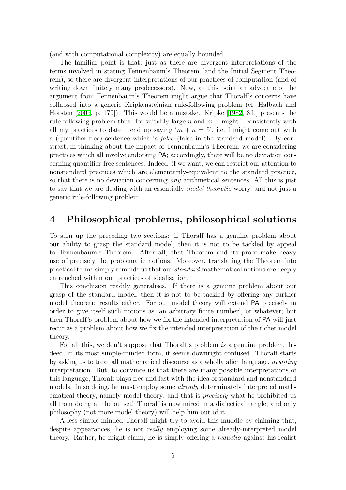(and with computational complexity) are equally bounded.

The familiar point is that, just as there are divergent interpretations of the terms involved in stating Tennenbaum's Theorem (and the Initial Segment Theorem), so there are divergent interpretations of our practices of computation (and of writing down finitely many predecessors). Now, at this point an advocate of the argument from Tennenbaum's Theorem might argue that Thoralf's concerns have collapsed into a generic Kripkensteinian rule-following problem (cf. Halbach and Horsten [2005, p. 179]). This would be a mistake. Kripke [1982, 8ff.] presents the rule-following problem thus: for suitably large *n* and *m*, I might – consistently with all my practices to date – end up saying  $^{6}m + n = 5$ , i.e. I might come out with a (quanti[fier-f](#page-5-1)ree) sentence which is *false* (false in the sta[ndard](#page-6-2) model). By constrast, in thinking about the impact of Tennenbaum's Theorem, we are considering practices which all involve endorsing PA; accordingly, there will be no deviation concerning quantifier-free sentences. Indeed, if we want, we can restrict our attention to nonstandard practices which are elementarily-equivalent to the standard practice, so that there is no deviation concerning *any* arithmetical sentences. All this is just to say that we are dealing with an essentially *model-theoretic* worry, and not just a generic rule-following problem.

### **4 Philosophical problems, philosophical solutions**

To sum up the preceding two sections: if Thoralf has a genuine problem about our ability to grasp the standard model, then it is not to be tackled by appeal to Tennenbaum's Theorem. After all, that Theorem and its proof make heavy use of precisely the problematic notions. Moreover, translating the Theorem into practical terms simply reminds us that our *standard* mathematical notions are deeply entrenched within our practices of idealisation.

This conclusion readily generalises. If there is a genuine problem about our grasp of the standard model, then it is not to be tackled by offering any further model theoretic results either. For our model theory will extend PA precisely in order to give itself such notions as 'an arbitrary finite number', or whatever; but then Thoralf's problem about how we fix the intended interpretation of PA will just recur as a problem about how we fix the intended interpretation of the richer model theory.

For all this, we don't suppose that Thoralf's problem *is* a genuine problem. Indeed, in its most simple-minded form, it seems downright confused. Thoralf starts by asking us to treat all mathematical discourse as a wholly alien language, *awaiting* interpretation. But, to convince us that there are many possible interpretations of this language, Thoralf plays free and fast with the idea of standard and nonstandard models. In so doing, he must employ some *already* determinately interpreted mathematical theory, namely model theory; and that is *precisely* what he prohibited us all from doing at the outset! Thoralf is now mired in a dialectical tangle, and only philosophy (not more model theory) will help him out of it.

A less simple-minded Thoralf might try to avoid this muddle by claiming that, despite appearances, he is not *really* employing some already-interpreted model theory. Rather, he might claim, he is simply offering a *reductio* against his realist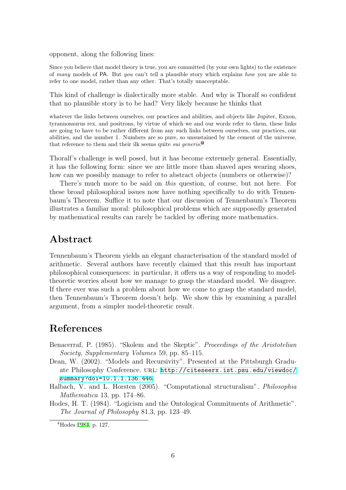opponent, along the following lines:

Since you believe that model theory is true, you are committed (by your own lights) to the existence of *many* models of PA. But *you* can't tell a plausible story which explains *how* you are able to refer to one model, rather than any other. That's totally unacceptable.

This kind of challenge is dialectically more stable. And why is Thoralf so confident that no plausible story is to be had? Very likely because he thinks that

whatever the links between ourselves, our practices and abilities, and objects like Jupiter, Exxon, tyrannosaurus rex, and positrons, by virtue of which we and our words refer to them, these links are going to have to be rather different from any such links between ourselves, our practices, our abilities, and the number 1. Numbers are so pure, so unsustained by the cement of the universe, that reference to them and their ilk seems quite *sui generis*. 4

Thoralf's challenge is well posed, but it has become extremely general. Essentially, it has the following form: since we are little more than shaved apes wearing shoes, how can we possibly manage to refer to abstract o[b](#page-5-2)jects (numbers or otherwise)?

There's much more to be said on *this* question, of course, but not here. For these broad philosophical issues now have nothing specifically to do with Tennenbaum's Theorem. Suffice it to note that our discussion of Tennenbaum's Theorem illustrates a familiar moral: philosophical problems which are supposedly generated by mathematical results can rarely be tackled by offering more mathematics.

#### **Abstract**

Tennenbaum's Theorem yields an elegant characterisation of the standard model of arithmetic. Several authors have recently claimed that this result has important philosophical consequences: in particular, it offers us a way of responding to modeltheoretic worries about how we manage to grasp the standard model. We disagree. If there ever was such a problem about how we come to grasp the standard model, then Tennenbaum's Theorem doesn't help. We show this by examining a parallel argument, from a simpler model-theoretic result.

## **References**

- Benacerraf, P. (1985). "Skolem and the Skeptic". *Proceedings of the Aristotelian Society, Supplementary Volumes* 59, pp. 85–115.
- Dean, W. (2002). "Models and Recursivity". Presented at the Pittsburgh Graduate Philosophy Conference. url: http://citeseerx.ist.psu.edu/viewdoc/ summary?doi=10.1.1.136.446.
- <span id="page-5-0"></span>Halbach, V. and L. Horsten (2005). "Computational structuralism". *Philosophia Mathematica* 13, pp. 174–86.

<span id="page-5-1"></span>Hodes, H. T. (1984). "Logicism and [the Ontological Commitments of Arithmetic".](http://citeseerx.ist.psu.edu/viewdoc/summary?doi=10.1.1.136.446) *[The Journal of Philosophy](http://citeseerx.ist.psu.edu/viewdoc/summary?doi=10.1.1.136.446)* 81.3, pp. 123–49.

<span id="page-5-2"></span><sup>4</sup>Hodes 1984, p. 127.